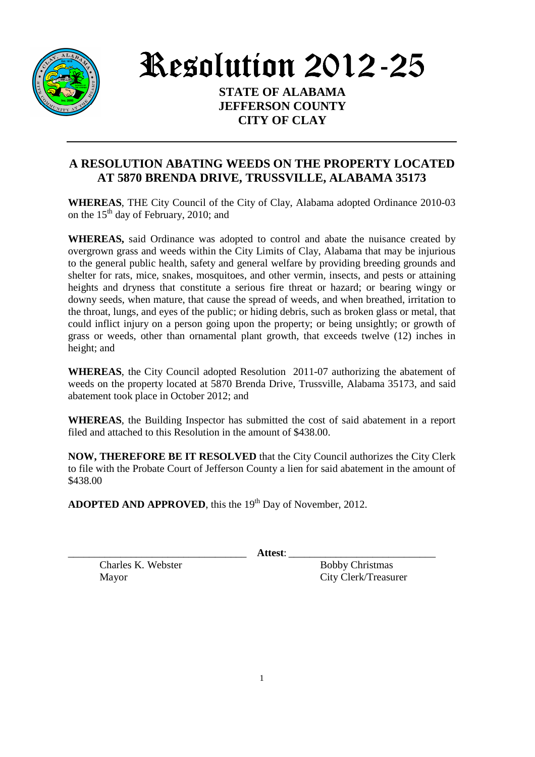

Resolution 2012-25

**STATE OF ALABAMA JEFFERSON COUNTY CITY OF CLAY** 

## **A RESOLUTION ABATING WEEDS ON THE PROPERTY LOCATED AT 5870 BRENDA DRIVE, TRUSSVILLE, ALABAMA 35173**

**WHEREAS**, THE City Council of the City of Clay, Alabama adopted Ordinance 2010-03 on the  $15<sup>th</sup>$  day of February, 2010; and

**WHEREAS,** said Ordinance was adopted to control and abate the nuisance created by overgrown grass and weeds within the City Limits of Clay, Alabama that may be injurious to the general public health, safety and general welfare by providing breeding grounds and shelter for rats, mice, snakes, mosquitoes, and other vermin, insects, and pests or attaining heights and dryness that constitute a serious fire threat or hazard; or bearing wingy or downy seeds, when mature, that cause the spread of weeds, and when breathed, irritation to the throat, lungs, and eyes of the public; or hiding debris, such as broken glass or metal, that could inflict injury on a person going upon the property; or being unsightly; or growth of grass or weeds, other than ornamental plant growth, that exceeds twelve (12) inches in height; and

**WHEREAS**, the City Council adopted Resolution 2011-07 authorizing the abatement of weeds on the property located at 5870 Brenda Drive, Trussville, Alabama 35173, and said abatement took place in October 2012; and

**WHEREAS**, the Building Inspector has submitted the cost of said abatement in a report filed and attached to this Resolution in the amount of \$438.00.

**NOW, THEREFORE BE IT RESOLVED** that the City Council authorizes the City Clerk to file with the Probate Court of Jefferson County a lien for said abatement in the amount of \$438.00

**ADOPTED AND APPROVED**, this the 19<sup>th</sup> Day of November, 2012.

\_\_\_\_\_\_\_\_\_\_\_\_\_\_\_\_\_\_\_\_\_\_\_\_\_\_\_\_\_\_\_\_\_\_ **Attest**: \_\_\_\_\_\_\_\_\_\_\_\_\_\_\_\_\_\_\_\_\_\_\_\_\_\_\_\_

Charles K. Webster Bobby Christmas

Mayor City Clerk/Treasurer